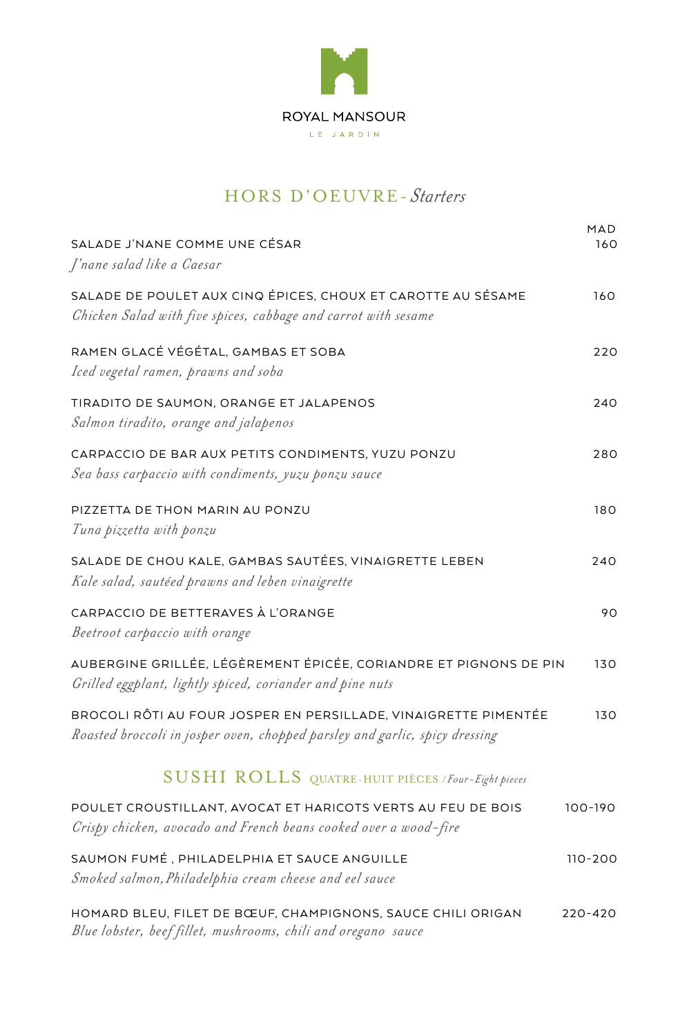

# HORS D'OEUVRE-Starters

| SALADE J'NANE COMME UNE CÉSAR<br>J'nane salad like a Caesar                                                                                    | MAD.<br>160 |
|------------------------------------------------------------------------------------------------------------------------------------------------|-------------|
| SALADE DE POULET AUX CINQ ÉPICES, CHOUX ET CAROTTE AU SÉSAME<br>Chicken Salad with five spices, cabbage and carrot with sesame                 | 160         |
| RAMEN GLACÉ VÉGÉTAL, GAMBAS ET SOBA<br>Iced vegetal ramen, prawns and soba                                                                     | 220         |
| TIRADITO DE SAUMON, ORANGE ET JALAPENOS<br>Salmon tiradito, orange and jalapenos                                                               | 240         |
| CARPACCIO DE BAR AUX PETITS CONDIMENTS, YUZU PONZU<br>Sea bass carpaccio with condiments, yuzu ponzu sauce                                     | 280         |
| PIZZETTA DE THON MARIN AU PONZU<br>Tuna pizzetta with ponzu                                                                                    | 180         |
| SALADE DE CHOU KALE, GAMBAS SAUTÉES, VINAIGRETTE LEBEN<br>Kale salad, sautéed prawns and leben vinaigrette                                     | 240         |
| CARPACCIO DE BETTERAVES À L'ORANGE<br>Beetroot carpaccio with orange                                                                           | 90          |
| AUBERGINE GRILLÉE, LÉGÈREMENT ÉPICÉE, CORIANDRE ET PIGNONS DE PIN<br>Grilled eggplant, lightly spiced, coriander and pine nuts                 | 130         |
| BROCOLI RÔTI AU FOUR JOSPER EN PERSILLADE, VINAIGRETTE PIMENTÉE<br>Roasted broccoli in josper oven, chopped parsley and garlic, spicy dressing | 130         |
| SUSHI ROLLS QUATRE-HUIT PIÈCES / Four-Eight pieces                                                                                             |             |
| POULET CROUSTILLANT, AVOCAT ET HARICOTS VERTS AU FEU DE BOIS<br>Crispy chicken, avocado and French beans cooked over a wood-fire               | 100-190     |
| SAUMON FUMÉ, PHILADELPHIA ET SAUCE ANGUILLE<br>Smoked salmon, Philadelphia cream cheese and eel sauce                                          | 110-200     |
| HOMARD BLEU, FILET DE BŒUF, CHAMPIGNONS, SAUCE CHILI ORIGAN<br>Blue lobster, beef fillet, mushrooms, chili and oregano sauce                   | 220-420     |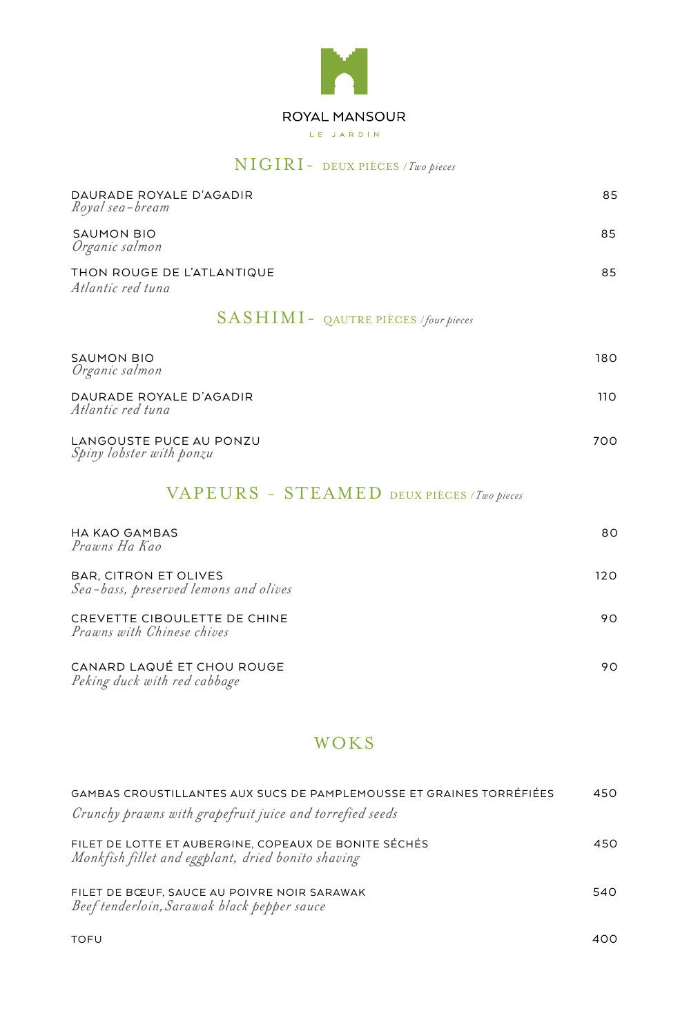

#### *NIGIRI* - DEUX PIÈCES / Two pieces

| DAURADE ROYALE D'AGADIR<br>Royal sea-bream                     | 85  |
|----------------------------------------------------------------|-----|
| <b>SAUMON BIO</b><br>Organic salmon                            | 85  |
| THON ROUGE DE L'ATLANTIQUE<br>Atlantic red tuna                | 85  |
| $SASHIMI - QAUTRE PIÈCES$ /four pieces                         |     |
| <b>SAUMON BIO</b><br>Organic salmon                            | 180 |
| DAURADE ROYALE D'AGADIR<br>Atlantic red tuna                   | 110 |
| LANGOUSTE PUCE AU PONZU<br>Spiny lobster with ponzu            | 700 |
| VAPEURS - STEAMED DEUX PIÈCES / Two pieces                     |     |
| <b>HA KAO GAMBAS</b><br>Prawns Ha Kao                          | 80  |
| BAR, CITRON ET OLIVES<br>Sea-bass, preserved lemons and olives | 120 |
| CREVETTE CIBOULETTE DE CHINE<br>Prawns with Chinese chives     | 90  |
| CANARD LAQUÉ ET CHOU ROUGE<br>Peking duck with red cabbage     | 90  |

### WOKS

| GAMBAS CROUSTILLANTES AUX SUCS DE PAMPLEMOUSSE ET GRAINES TORRÉFIÉES<br>Crunchy prawns with grapefruit juice and torrefied seeds | 450 |
|----------------------------------------------------------------------------------------------------------------------------------|-----|
| FILET DE LOTTE ET AUBERGINE. COPEAUX DE BONITE SÉCHÉS<br>Monkfish fillet and eggplant, dried bonito shaving                      | 450 |
| FILET DE BŒUF, SAUCE AU POIVRE NOIR SARAWAK<br>Beef tenderloin, Sarawak black pepper sauce                                       | 540 |

400 TOFU